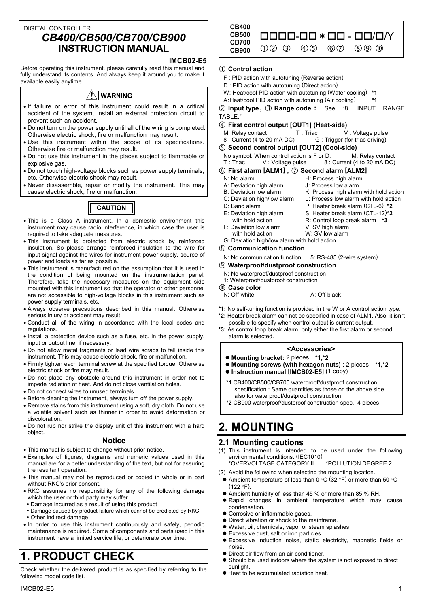## DIGITAL CONTROLLER *CB400/CB500/CB700/CB900* **INSTRUCTION MANUAL**

#### **IMCB02-E5**

Before operating this instrument, please carefully read this manual and fully understand its contents. And always keep it around you to make it available easily anytime.

## **WARNING**

- If failure or error of this instrument could result in a critical accident of the system, install an external protection circuit to prevent such an accident.
- Do not turn on the power supply until all of the wiring is completed. Otherwise electric shock, fire or malfunction may result.
- Use this instrument within the scope of its specifications. Otherwise fire or malfunction may result.
- Do not use this instrument in the places subject to flammable or explosive gas.
- Do not touch high-voltage blocks such as power supply terminals, etc. Otherwise electric shock may result.
- Never disassemble, repair or modify the instrument. This may cause electric shock, fire or malfunction.



- This is a Class A instrument. In a domestic environment this instrument may cause radio interference, in which case the user is required to take adequate measures.
- This instrument is protected from electric shock by reinforced insulation. So please arrange reinforced insulation to the wire for input signal against the wires for instrument power supply, source of power and loads as far as possible.
- This instrument is manufactured on the assumption that it is used in the condition of being mounted on the instrumentation panel. Therefore, take the necessary measures on the equipment side mounted with this instrument so that the operator or other personnel are not accessible to high-voltage blocks in this instrument such as power supply terminals, etc.
- Always observe precautions described in this manual. Otherwise serious injury or accident may result.
- Conduct all of the wiring in accordance with the local codes and regulations.
- Install a protection device such as a fuse, etc. in the power supply, input or output line, if necessary.
- Do not allow metal fragments or lead wire scraps to fall inside this instrument. This may cause electric shock, fire or malfunction.
- Firmly tighten each terminal screw at the specified torque. Otherwise electric shock or fire may result.
- Do not place any obstacle around this instrument in order not to impede radiation of heat. And do not close ventilation holes.
- Do not connect wires to unused terminals.
- Before cleaning the instrument, always turn off the power supply.
- Remove stains from this instrument using a soft, dry cloth. Do not use a volatile solvent such as thinner in order to avoid deformation or discoloration.
- Do not rub nor strike the display unit of this instrument with a hard object.

#### **Notice**

- This manual is subject to change without prior notice.
- Examples of figures, diagrams and numeric values used in this manual are for a better understanding of the text, but not for assuring the resultant operation.
- This manual may not be reproduced or copied in whole or in part without RKC's prior consent.
- RKC assumes no responsibility for any of the following damage which the user or third party may suffer.
- . Damage incurred as a result of using this product
- . Damage caused by product failure which cannot be predicted by RKC
- Other indirect damage
- In order to use this instrument continuously and safely, periodic maintenance is required. Some of components and parts used in this instrument have a limited service life, or deteriorate over time.

# **1. PRODUCT CHECK**

Check whether the delivered product is as specified by referring to the following model code list.



#### # **Control action**

- F : PID action with autotuning (Reverse action)
- D : PID action with autotuning (Direct action)
- W: Heat/cool PID action with autotuning (Water cooling) **\*1**
- A : Heat/cool PID action with autotuning (Air cooling) **\*1**

\$ **Input type ,** % **Range code :** See "8. INPUT RANGE TABLE."

- & **First control output [OUT1] (Heat-side)**
- M: Relay contact T: Triac V: Voltage pulse<br>8: Current (4 to 20 mA DC) G: Trigger (for triac driving) G : Trigger (for triac driving)
- $\circledS$  Second control output [OUT2] (Cool-side)
	- No symbol: When control action is F or D. M: Relay contact  $T:$  Triac  $V:$  V oltage pulse  $8:$  Current (4 to 20 mA DC)  $8:$  Current (4 to 20 mA DC)
- **(6) First alarm [ALM1] ,**  $\oslash$  **<b>Second alarm [ALM2]**<br>N: No alarm **H:** Process high alarm
	- - H: Process high alarm
	- A: Deviation high alarm J: Process low alarm
	- B: Deviation low alarm K: Process high alarm with hold action<br>C: Deviation high/low alarm L: Process low alarm with hold action
	-
	- D: Band alarm P: Heater break alarm (CTL-6) **\*2**
		-

L: Process low alarm with hold action

- E: Deviation high alarm S: Heater break alarm (CTL-12)**\*2** with hold action **R:** Control loop break alarm **\*3** F: Deviation low alarm V: SV high alarm with hold action W: SV low alarm
- G: Deviation high/low alarm with hold action
- $@$  Communication function
- N: No communication function 5: RS-485 (2-wire system)
- + **Waterproof/dustproof construction**
- N: No waterproof/dustproof construction
- 1: Waterproof/dustproof construction
- **10 Case color**<br>N: Off-white
	-
- **\*1:** No self-tuning function is provided in the W or A control action type.
- **\*2:** Heater break alarm can not be specified in case of ALM1. Also, it isn't possible to specify when control output is current output.

 $A:$  Off-black

**\*3:** As control loop break alarm, only either the first alarm or second alarm is selected.

#### **<Accessories>**

- $\bullet$  **Mounting bracket:** 2 pieces \*1,\*2
- -"**Mounting screws (with hexagon nuts)** : 2 pieces **\*1,\*2**
- $\bullet$  Instruction manual [IMCB02-E5] (1 copy)
- **\*1** CB400/CB500/CB700 waterproof/dustproof construction specification.: Same quantities as those on the above side also for waterproof/dustproof construction
- **\*2** CB900 waterproof/dustproof construction spec.: 4 pieces

## **2. MOUNTING**

#### **2.1 Mounting cautions**

- (1) This instrument is intended to be used under the following environmental conditions. (IEC1010)
	- \*OVERVOLTAGE CATEGORY II \*POLLUTION DEGREE 2
- (2) Avoid the following when selecting the mounting location.
- $\bullet$  Ambient temperature of less than 0 °C (32 °F) or more than 50 °C  $(122 °F)$
- Ambient humidity of less than 45 % or more than 85 % RH.
- $\bullet$  Rapid changes in ambient temperature which may cause condensation.
- $\bullet$  Corrosive or inflammable gases.
- Direct vibration or shock to the mainframe.
- $\bullet$  Water, oil, chemicals, vapor or steam splashes.
- $\bullet$  Excessive dust, salt or iron particles.
- · Excessive induction noise, static electricity, magnetic fields or noise.
- $\bullet$  Direct air flow from an air conditioner.
- $\bullet$  Should be used indoors where the system is not exposed to direct sunlight.
- Heat to be accumulated radiation heat.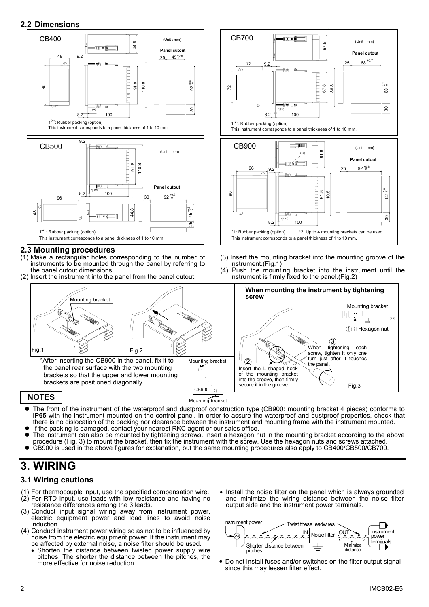### **2.2 Dimensions**



#### **2.3 Mounting procedures**

- (1) Make a rectangular holes corresponding to the number of instruments to be mounted through the panel by referring to the panel cutout dimensions.
- (2) Insert the instrument into the panel from the panel cutout.



 brackets so that the upper and lower mounting brackets are positioned diagonally.

#### **NOTES**

ŕ

- !"The front of the instrument of the waterproof and dustproof construction type (CB900: mounting bracket 4 pieces) conforms to **IP65** with the instrument mounted on the control panel. In order to assure the waterproof and dustproof properties, check that there is no dislocation of the packing nor clearance between the instrument and mounting frame with the instrument mounted.
- If the packing is damaged, contact your nearest RKC agent or our sales office. !"The instrument can also be mounted by tightening screws. Insert a hexagon nut in the mounting bracket according to the above

Mounting bracket CB900

- procedure (Fig. 3) to mount the bracket, then fix the instrument with the screw. Use the hexagon nuts and screws attached.
- CB900 is used in the above figures for explanation, but the same mounting procedures also apply to CB400/CB500/CB700.

## **3. WIRING**

### **3.1 Wiring cautions**

- (1) For thermocouple input, use the specified compensation wire. (2) For RTD input, use leads with low resistance and having no resistance differences among the 3 leads.
- (3) Conduct input signal wiring away from instrument power, electric equipment power and load lines to avoid noise induction.
- (4) Conduct instrument power wiring so as not to be influenced by noise from the electric equipment power. If the instrument may be affected by external noise, a noise filter should be used.
	- Shorten the distance between twisted power supply wire pitches. The shorter the distance between the pitches, the
- Install the noise filter on the panel which is always grounded and minimize the wiring distance between the noise filter output side and the instrument power terminals.



• Do not install fuses and/or switches on the filter output signal since this may lessen filter effect.



- (3) Insert the mounting bracket into the mounting groove of the instrument.(Fig.1)
- (4) Push the mounting bracket into the instrument until the instrument is firmly fixed to the panel.(Fig.2)

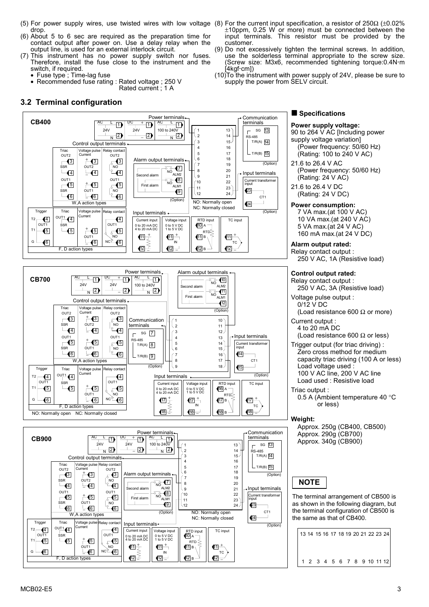- (5) For power supply wires, use twisted wires with low voltage (8) For the current input specification, a resistor of 250Ω (±0.02% drop.
- (6) About 5 to 6 sec are required as the preparation time for contact output after power on. Use a delay relay when the output line, is used for an external interlock circuit.
- (7) This instrument has no power supply switch nor fuses. Therefore, install the fuse close to the instrument and the switch, if required.
	- Fuse type ; Time-lag fuse
	- Recommended fuse rating : Rated voltage ; 250 V Rated current ; 1 A
- **3.2 Terminal configuration**
- ±10ppm, 0.25 W or more) must be connected between the input terminals. This resistor must be provided by the customer.
- (9) Do not excessively tighten the terminal screws. In addition, use the solderless terminal appropriate to the screw size. (Screw size: M3x6, recommended tightening torque:0.4N!m Ì4kgf∙cm])
- (10) To the instrument with power supply of 24V, please be sure to supply the power from SELV circuit.

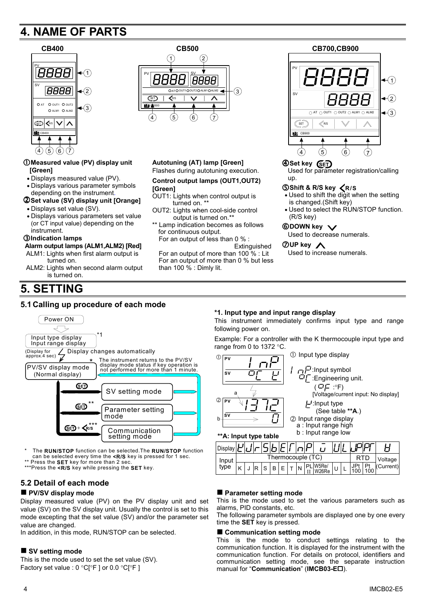# **4. NAME OF PARTS**



## %**Measured value (PV) display unit [Green]**

- Displays measured value (PV).
- Displays various parameter symbols depending on the instrument.
- &**Set value (SV) display unit [Orange]**
- Displays set value (SV).
- Displays various parameters set value (or CT input value) depending on the instrument.

#### '**Indication lamps**

## **Alarm output lamps (ALM1,ALM2) [Red]**

- ALM1: Lights when first alarm output is turned on.
- ALM2: Lights when second alarm output is turned on.

## **5. SETTING**

#### **5.1 Calling up procedure of each mode**



\* The **RUN/STOP** function can be selected.The **RUN/STOP** function can be selected every time the **<R/S** key is pressed for 1 sec.

Press the SET key for more than 2 sec.

\*\*\*Press the **<R/S** key while pressing the **SET** key.

#### **5.2 Detail of each mode**

#### ■ PV/SV display mode

Display measured value (PV) on the PV display unit and set value (SV) on the SV display unit. Usually the control is set to this mode excepting that the set value (SV) and/or the parameter set value are changed.

In addition, in this mode, RUN/STOP can be selected.

#### ■ SV setting mode

This is the mode used to set the set value (SV). Factory set value : 0 °C[°F ] or 0.0 °C[°F ]



#### **Autotuning (AT) lamp [Green]** Flashes during autotuning execution.

#### **Control output lamps (OUT1,OUT2) [Green]**

- OUT1: Lights when control output is turned on. \*
- OUT2: Lights when cool-side control output is turned on.\*
- \*\* Lamp indication becomes as follows for continuous output. For an output of less than 0 % :
	- Extinguished

For an output of more than 100 % : Lit For an output of more than 0 % but less than 100 % : Dimly lit.



#### (**Set key SET**

Used for parameter registration/calling up.

#### )**Shift & R/S key R/S**

- Used to shift the digit when the setting is changed.(Shift key)
- Used to select the RUN/STOP function. (R/S key)

## **6**DOWN key  $\vee$

Used to decrease numerals.

#### +**UP key**

Used to increase numerals.

#### **\*1. Input type and input range display**

This instrument immediately confirms input type and range following power on.

Example: For a controller with the K thermocouple input type and range from 0 to 1372 °C.



| Display |                   |  |  |   |  |  |  |  |  |  |  |  |           |  |  |
|---------|-------------------|--|--|---|--|--|--|--|--|--|--|--|-----------|--|--|
| Input   | Thermocouple (TC) |  |  |   |  |  |  |  |  |  |  |  | Voltage   |  |  |
| type    |                   |  |  | B |  |  |  |  |  |  |  |  | (Current) |  |  |

#### ■ Parameter setting mode

This is the mode used to set the various parameters such as alarms, PID constants, etc.

The following parameter symbols are displayed one by one every time the **SET** key is pressed.

#### ■ Communication setting mode

This is the mode to conduct settings relating to the communication function. It is displayed for the instrument with the communication function. For details on protocol, identifiers and communication setting mode, see the separate instruction manual for "Communication" (IMCB03-E<sup> $\Box$ </sup>).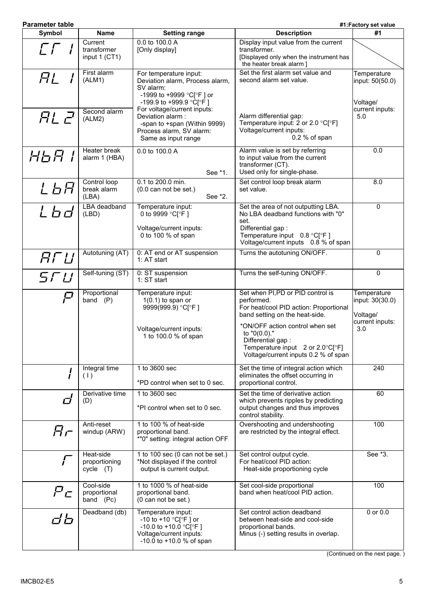| <b>Parameter table</b>   |                                         |                                                                                                                                                     |                                                                                                                                                                                  | #1:Factory set value                       |  |  |  |
|--------------------------|-----------------------------------------|-----------------------------------------------------------------------------------------------------------------------------------------------------|----------------------------------------------------------------------------------------------------------------------------------------------------------------------------------|--------------------------------------------|--|--|--|
| Symbol                   | <b>Name</b>                             | <b>Setting range</b>                                                                                                                                | <b>Description</b>                                                                                                                                                               | #1                                         |  |  |  |
| $\Gamma\Gamma$           | Current<br>transformer<br>input 1 (CT1) | 0.0 to 100.0 A<br>[Only display]                                                                                                                    | Display input value from the current<br>transformer.<br>[Displayed only when the instrument has<br>the heater break alarm ]                                                      |                                            |  |  |  |
| HL                       | First alarm<br>(ALM1)                   | For temperature input:<br>Deviation alarm, Process alarm,<br>SV alarm:<br>-1999 to +9999 °C[°F] or<br>-199.9 to +999.9 °C °F ]                      | Set the first alarm set value and<br>second alarm set value.                                                                                                                     | Temperature<br>input: 50(50.0)<br>Voltage/ |  |  |  |
| <b>RL 2</b>              | Second alarm<br>(ALM2)                  | For voltage/current inputs:<br>Deviation alarm:<br>-span to +span (Within 9999)<br>Process alarm, SV alarm:<br>Same as input range                  | Alarm differential gap:<br>Temperature input: 2 or 2.0 $^{\circ}$ C[ $^{\circ}$ F]<br>Voltage/current inputs:<br>0.2 % of span                                                   | current inputs:<br>5.0                     |  |  |  |
| HGA I                    | Heater break<br>alarm 1 (HBA)           | 0.0 to 100.0 A<br>See *1.                                                                                                                           | Alarm value is set by referring<br>to input value from the current<br>transformer (CT).<br>Used only for single-phase.                                                           | 0.0                                        |  |  |  |
| L6月                      | Control loop<br>break alarm<br>(LBA)    | 0.1 to 200.0 min.<br>$(0.0 \text{ can not be set.})$<br>See *2.                                                                                     | Set control loop break alarm<br>set value.                                                                                                                                       | $\overline{8.0}$                           |  |  |  |
| Lbd                      | <b>LBA</b> deadband<br>(LBD)            | Temperature input:<br>0 to 9999 °C[°F]<br>Voltage/current inputs:<br>0 to 100 % of span                                                             | Set the area of not outputting LBA.<br>No LBA deadband functions with "0"<br>set.<br>Differential gap:<br>Temperature input $0.8$ °C[°F]<br>Voltage/current inputs 0.8 % of span | 0                                          |  |  |  |
| FFLI                     | Autotuning (AT)                         | 0: AT end or AT suspension                                                                                                                          | Turns the autotuning ON/OFF.                                                                                                                                                     | $\mathbf 0$                                |  |  |  |
|                          | Self-tuning (ST)                        | 1: AT start<br>0: ST suspension                                                                                                                     | Turns the self-tuning ON/OFF.                                                                                                                                                    | $\mathbf 0$                                |  |  |  |
| 5 F LI                   |                                         | 1: ST start                                                                                                                                         |                                                                                                                                                                                  |                                            |  |  |  |
| $\boldsymbol{\varGamma}$ | Proportional<br>band $(P)$              | Temperature input:<br>$1(0.1)$ to span or<br>9999(999.9) °C[°F]                                                                                     | Set when PI,PD or PID control is<br>performed.<br>For heat/cool PID action: Proportional<br>band setting on the heat-side.                                                       | Temperature<br>input: 30(30.0)<br>Voltage/ |  |  |  |
|                          |                                         | Voltage/current inputs:<br>1 to 100.0 % of span                                                                                                     | *ON/OFF action control when set<br>to "0(0.0)."<br>Differential gap:<br>Temperature input $2$ or $2.0^{\circ}C[^{\circ}F]$<br>Voltage/current inputs 0.2 % of span               | current inputs:<br>3.0                     |  |  |  |
|                          | Integral time<br>(1)                    | 1 to 3600 sec<br>*PD control when set to 0 sec.                                                                                                     | Set the time of integral action which<br>eliminates the offset occurring in<br>proportional control.                                                                             | 240                                        |  |  |  |
| Сİ                       | Derivative time<br>(D)                  | 1 to 3600 sec<br>*PI control when set to 0 sec.                                                                                                     | Set the time of derivative action<br>which prevents ripples by predicting<br>output changes and thus improves<br>control stability.                                              | 60                                         |  |  |  |
| $H$ r                    | Anti-reset<br>windup (ARW)              | 1 to 100 % of heat-side<br>proportional band.<br>*"0" setting: integral action OFF                                                                  | Overshooting and undershooting<br>are restricted by the integral effect.                                                                                                         | 100                                        |  |  |  |
| Г                        | Heat-side<br>proportioning<br>cycle (T) | 1 to 100 sec (0 can not be set.)<br>*Not displayed if the control<br>output is current output.                                                      | Set control output cycle.<br>For heat/cool PID action:<br>Heat-side proportioning cycle                                                                                          | See *3.                                    |  |  |  |
| P <sub>C</sub>           | Cool-side<br>proportional<br>band (Pc)  | 1 to 1000 % of heat-side<br>proportional band.<br>(0 can not be set.)                                                                               | Set cool-side proportional<br>band when heat/cool PID action.                                                                                                                    | 100                                        |  |  |  |
| db                       | Deadband (db)                           | Temperature input:<br>-10 to +10 $^{\circ}$ C[ $^{\circ}$ F] or<br>-10.0 to +10.0 °C[°F]<br>Voltage/current inputs:<br>$-10.0$ to $+10.0$ % of span | Set control action deadband<br>between heat-side and cool-side<br>proportional bands.<br>Minus (-) setting results in overlap.                                                   | $0$ or $0.0$                               |  |  |  |

(Continued on the next page. )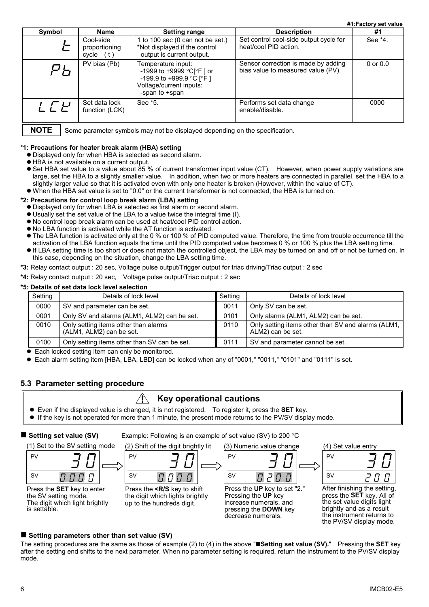**#1:Factory set value**

| Symbol          | <b>Name</b>                             | <b>Setting range</b>                                                                                                    | <b>Description</b>                                                        | #1           |
|-----------------|-----------------------------------------|-------------------------------------------------------------------------------------------------------------------------|---------------------------------------------------------------------------|--------------|
|                 | Cool-side<br>proportioning<br>cycle (t) | 1 to 100 sec (0 can not be set.)<br>*Not displayed if the control<br>output is current output.                          | Set control cool-side output cycle for<br>heat/cool PID action.           | See *4.      |
|                 | PV bias (Pb)                            | Temperature input:<br>-1999 to +9999 °C[°F] or<br>-199.9 to +999.9 °C [°F]<br>Voltage/current inputs:<br>-span to +span | Sensor correction is made by adding<br>bias value to measured value (PV). | $0$ or $0.0$ |
| $\int \int \mu$ | Set data lock<br>function (LCK)         | See *5.                                                                                                                 | Performs set data change<br>enable/disable.                               | 0000         |

**NOTE**

Some parameter symbols may not be displayed depending on the specification.

#### **\*1: Precautions for heater break alarm (HBA) setting**

- $\bullet$  Displayed only for when HBA is selected as second alarm.
- HBA is not available on a current output.
- Set HBA set value to a value about 85 % of current transformer input value (CT). However, when power supply variations are large, set the HBA to a slightly smaller value. In addition, when two or more heaters are connected in parallel, set the HBA to a slightly larger value so that it is activated even with only one heater is broken (However, within the value of CT). • When the HBA set value is set to "0.0" or the current transformer is not connected, the HBA is turned on.

#### **\*2: Precautions for control loop break alarm (LBA) setting**

- ,#Displayed only for when LBA is selected as first alarm or second alarm.
- ,#Usually set the set value of the LBA to a value twice the integral time (I).
- $\bullet$  No control loop break alarm can be used at heat/cool PID control action.
- No LBA function is activated while the AT function is activated.
- The LBA function is activated only at the 0 % or 100 % of PID computed value. Therefore, the time from trouble occurrence till the activation of the LBA function equals the time until the PID computed value becomes 0 % or 100 % plus the LBA setting time.
- ,#If LBA setting time is too short or does not match the controlled object, the LBA may be turned on and off or not be turned on. In this case, depending on the situation, change the LBA setting time.
- **\*3:** Relay contact output : 20 sec, Voltage pulse output/Trigger output for triac driving/Triac output : 2 sec
- **\*4:** Relay contact output : 20 sec, Voltage pulse output/Triac output : 2 sec

#### **\*5: Details of set data lock level selection**

| Setting | Details of lock level                                            | Setting | Details of lock level                                                   |
|---------|------------------------------------------------------------------|---------|-------------------------------------------------------------------------|
| 0000    | SV and parameter can be set.                                     | 0011    | Only SV can be set.                                                     |
| 0001    | Only SV and alarms (ALM1, ALM2) can be set.                      | 0101    | Only alarms (ALM1, ALM2) can be set.                                    |
| 0010    | Only setting items other than alarms<br>(ALM1, ALM2) can be set. | 0110    | Only setting items other than SV and alarms (ALM1,<br>ALM2) can be set. |
| 0100    | Only setting items other than SV can be set.                     | 0111    | SV and parameter cannot be set.                                         |

• Each locked setting item can only be monitored.

● Each alarm setting item [HBA, LBA, LBD] can be locked when any of "0001," "0011," "0101" and "0111" is set.

#### **5.3 Parameter setting procedure**

## $\hat{A}$  Key operational cautions

- ,#Even if the displayed value is changed, it is not registered. To register it, press the **SET** key.
- $\bullet$  If the key is not operated for more than 1 minute, the present mode returns to the PV/SV display mode.

| Setting set value (SV)                                                                               | Example: Following is an example of set value (SV) to 200 $\degree$ C                                        |                                                                                                                                     |                                                                                                                                                                                    |
|------------------------------------------------------------------------------------------------------|--------------------------------------------------------------------------------------------------------------|-------------------------------------------------------------------------------------------------------------------------------------|------------------------------------------------------------------------------------------------------------------------------------------------------------------------------------|
| (1) Set to the SV setting mode                                                                       | (2) Shift of the digit brightly lit                                                                          | (3) Numeric value change                                                                                                            | (4) Set value entry                                                                                                                                                                |
| PV<br><b>SV</b><br>$\pi$ $\pi$ $\pi$                                                                 | PV<br><b>SV</b><br>$\Pi$ $\Pi$ $\Pi$                                                                         | PV<br><b>SV</b><br>$\Box$ $\Pi$ .                                                                                                   | PV<br><b>SV</b>                                                                                                                                                                    |
| Press the SET key to enter<br>the SV setting mode.<br>The digit which light brightly<br>is settable. | Press the <r key="" s="" shift<br="" to="">the digit which lights brightly<br/>up to the hundreds digit.</r> | Press the UP key to set "2."<br>Pressing the UP key<br>increase numerals, and<br>pressing the <b>DOWN</b> key<br>decrease numerals. | After finishing the setting,<br>press the <b>SET</b> key. All of<br>the set value digits light<br>brightly and as a result<br>the instrument returns to<br>the PV/SV display mode. |

#### ■ Setting parameters other than set value (SV)

The setting procedures are the same as those of example (2) to (4) in the above ""**Setting set value (SV).**" Pressing the **SET** key after the setting end shifts to the next parameter. When no parameter setting is required, return the instrument to the PV/SV display mode.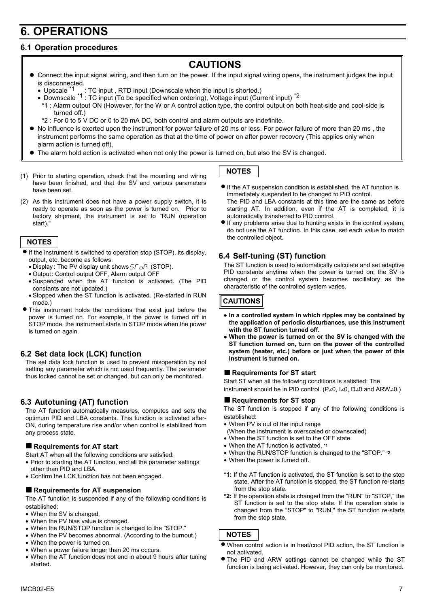# **6. OPERATIONS**

## **6.1 Operation procedures**

## **CAUTIONS**

- #"Connect the input signal wiring, and then turn on the power. If the input signal wiring opens, the instrument judges the input is disconnected.<br>• Upscale <sup>\*1</sup>
	- : TC input, RTD input (Downscale when the input is shorted.)
	- Downscale <sup>\*1</sup> : TC input (To be specified when ordering), Voltage input (Current input) <sup>\*2</sup>
	- \*1 : Alarm output ON (However, for the W or A control action type, the control output on both heat-side and cool-side is turned off.)
	- \*2 : For 0 to 5 V DC or 0 to 20 mA DC, both control and alarm outputs are indefinite.
- $\bullet$  No influence is exerted upon the instrument for power failure of 20 ms or less. For power failure of more than 20 ms, the instrument performs the same operation as that at the time of power on after power recovery (This applies only when alarm action is turned off).
- The alarm hold action is activated when not only the power is turned on, but also the SV is changed.
- (1) Prior to starting operation, check that the mounting and wiring have been finished, and that the SV and various parameters have been set.
- (2) As this instrument does not have a power supply switch, it is ready to operate as soon as the power is turned on. Prior to factory shipment, the instrument is set to "RUN (operation start).

#### **NOTES**

- If the instrument is switched to operation stop (STOP), its display, output, etc. become as follows.
	- Display: The PV display unit shows  $5\sqrt{5}P$  (STOP).
	- Output: Control output OFF, Alarm output OFF
	- Suspended when the AT function is activated. (The PID constants are not updated.)
	- Stopped when the ST function is activated. (Re-started in RUN mode.)
- This instrument holds the conditions that exist just before the power is turned on. For example, if the power is turned off in STOP mode, the instrument starts in STOP mode when the power is turned on again.

#### **6.2 Set data lock (LCK) function**

The set data lock function is used to prevent misoperation by not setting any parameter which is not used frequently. The parameter thus locked cannot be set or changed, but can only be monitored.

### **6.3 Autotuning (AT) function**

The AT function automatically measures, computes and sets the optimum PID and LBA constants. This function is activated after-ON, during temperature rise and/or when control is stabilized from any process state.

#### ■ Requirements for AT start

Start AT when all the following conditions are satisfied:

- Prior to starting the AT function, end all the parameter settings other than PID and LBA.
- Confirm the LCK function has not been engaged.

#### $\blacksquare$  Requirements for AT suspension

The AT function is suspended if any of the following conditions is established:

- When the SV is changed.
- When the PV bias value is changed.
- When the RUN/STOP function is changed to the "STOP."
- When the PV becomes abnormal. (According to the burnout.)
- When the power is turned on.
- When a power failure longer than 20 ms occurs.
- When the AT function does not end in about 9 hours after tuning started.

#### **NOTES**

- If the AT suspension condition is established, the AT function is immediately suspended to be changed to PID control. The PID and LBA constants at this time are the same as before starting AT. In addition, even if the AT is completed, it is automatically transferred to PID control.
- If any problems arise due to hunting exists in the control system, do not use the AT function. In this case, set each value to match the controlled object.

#### **6.4 Self-tuning (ST) function**

The ST function is used to automatically calculate and set adaptive PID constants anytime when the power is turned on; the SV is changed or the control system becomes oscillatory as the characteristic of the controlled system varies.

#### **CAUTIONS**

- **In a controlled system in which ripples may be contained by the application of periodic disturbances, use this instrument with the ST function turned off.**
- **When the power is turned on or the SV is changed with the ST function turned on, turn on the power of the controlled system (heater, etc.) before or just when the power of this instrument is turned on.**

#### ■ Requirements for ST start

Start ST when all the following conditions is satisfied: The instrument should be in PID control. (P≠0, I≠0, D≠0 and ARW≠0.)

#### $\blacksquare$  Requirements for ST stop

The ST function is stopped if any of the following conditions is established:

- When PV is out of the input range
- (When the instrument is overscaled or downscaled)
- When the ST function is set to the OFF state.
- When the AT function is activated. **\*1**
- When the RUN/STOP function is changed to the "STOP." **\*2**
- When the power is turned off.
- **\*1:** If the AT function is activated, the ST function is set to the stop state. After the AT function is stopped, the ST function re-starts from the stop state.
- **\*2:** If the operation state is changed from the "RUN" to "STOP," the ST function is set to the stop state. If the operation state is changed from the "STOP" to "RUN," the ST function re-starts from the stop state.

#### **NOTES**

- When control action is in heat/cool PID action, the ST function is not activated.
- The PID and ARW settings cannot be changed while the ST function is being activated. However, they can only be monitored.